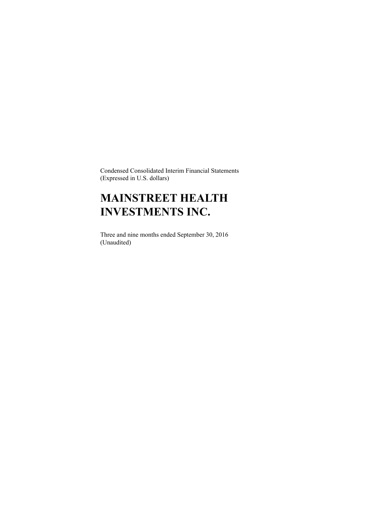Condensed Consolidated Interim Financial Statements (Expressed in U.S. dollars)

# **MAINSTREET HEALTH INVESTMENTS INC.**

Three and nine months ended September 30, 2016 (Unaudited)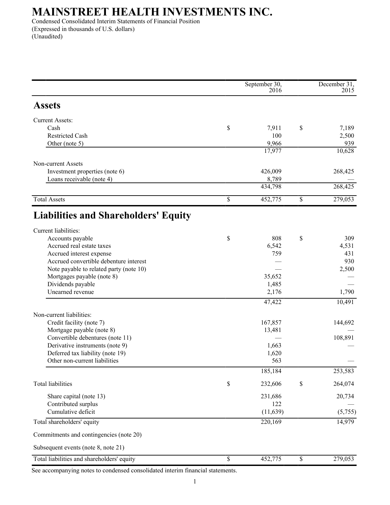Condensed Consolidated Interim Statements of Financial Position (Expressed in thousands of U.S. dollars) (Unaudited)

|                                             | September 30, |             | December 31, |
|---------------------------------------------|---------------|-------------|--------------|
|                                             | 2016          |             | 2015         |
| <b>Assets</b>                               |               |             |              |
| <b>Current Assets:</b>                      |               |             |              |
| Cash                                        | \$<br>7,911   | \$          | 7,189        |
| <b>Restricted Cash</b>                      | 100           |             | 2,500        |
| Other (note 5)                              | 9,966         |             | 939          |
|                                             | 17,977        |             | 10,628       |
| Non-current Assets                          |               |             |              |
| Investment properties (note 6)              | 426,009       |             | 268,425      |
| Loans receivable (note 4)                   | 8,789         |             |              |
|                                             | 434,798       |             | 268,425      |
| <b>Total Assets</b>                         | \$<br>452,775 | $\mathbb S$ | 279,053      |
| <b>Liabilities and Shareholders' Equity</b> |               |             |              |
| Current liabilities:                        |               |             |              |
| Accounts payable                            | \$<br>808     | \$          | 309          |
| Accrued real estate taxes                   | 6,542         |             | 4,531        |
| Accrued interest expense                    | 759           |             | 431          |
| Accrued convertible debenture interest      |               |             | 930          |
| Note payable to related party (note 10)     |               |             | 2,500        |
| Mortgages payable (note 8)                  | 35,652        |             |              |
| Dividends payable                           | 1,485         |             |              |
| Unearned revenue                            | 2,176         |             | 1,790        |
|                                             | 47,422        |             | 10,491       |
| Non-current liabilities:                    |               |             |              |
| Credit facility (note 7)                    | 167,857       |             | 144,692      |
| Mortgage payable (note 8)                   | 13,481        |             |              |
| Convertible debentures (note 11)            |               |             | 108,891      |
| Derivative instruments (note 9)             | 1,663         |             |              |
| Deferred tax liability (note 19)            | 1,620         |             |              |
| Other non-current liabilities               | 563           |             |              |
|                                             | 185,184       |             | 253,583      |
| <b>Total liabilities</b>                    | \$<br>232,606 | \$          | 264,074      |
| Share capital (note 13)                     | 231,686       |             | 20,734       |
| Contributed surplus                         | 122           |             |              |
| Cumulative deficit                          | (11, 639)     |             | (5,755)      |
| Total shareholders' equity                  | 220,169       |             | 14,979       |
| Commitments and contingencies (note 20)     |               |             |              |
| Subsequent events (note 8, note 21)         |               |             |              |
| Total liabilities and shareholders' equity  | \$<br>452,775 | \$          | 279,053      |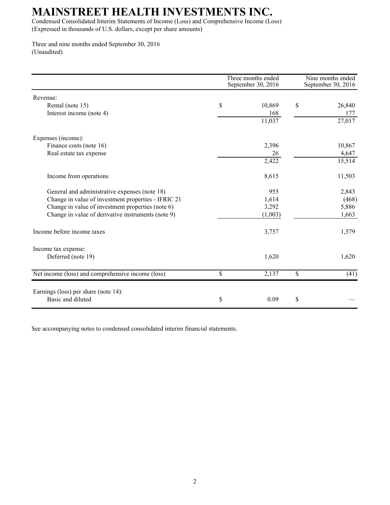Condensed Consolidated Interim Statements of Income (Loss) and Comprehensive Income (Loss) (Expressed in thousands of U.S. dollars, except per share amounts)

Three and nine months ended September 30, 2016 (Unaudited)

|                                                     | Three months ended<br>September 30, 2016 | Nine months ended<br>September 30, 2016 |
|-----------------------------------------------------|------------------------------------------|-----------------------------------------|
| Revenue:                                            |                                          |                                         |
| Rental (note 15)                                    | \$<br>10,869                             | \$<br>26,840                            |
| Interest income (note 4)                            | 168                                      | 177                                     |
|                                                     | 11,037                                   | 27,017                                  |
| Expenses (income):                                  |                                          |                                         |
| Finance costs (note 16)                             | 2,396                                    | 10,867                                  |
| Real estate tax expense                             | 26                                       | 4,647                                   |
|                                                     | 2,422                                    | 15,514                                  |
| Income from operations                              | 8,615                                    | 11,503                                  |
| General and administrative expenses (note 18)       | 955                                      | 2,843                                   |
| Change in value of investment properties - IFRIC 21 | 1,614                                    | (468)                                   |
| Change in value of investment properties (note 6)   | 3,292                                    | 5,886                                   |
| Change in value of derivative instruments (note 9)  | (1,003)                                  | 1,663                                   |
| Income before income taxes                          | 3,757                                    | 1,579                                   |
| Income tax expense:                                 |                                          |                                         |
| Deferred (note 19)                                  | 1,620                                    | 1,620                                   |
| Net income (loss) and comprehensive income (loss)   | \$<br>2,137                              | \$<br>(41)                              |
| Earnings (loss) per share (note 14):                |                                          |                                         |
| Basic and diluted                                   | \$<br>0.09                               | \$                                      |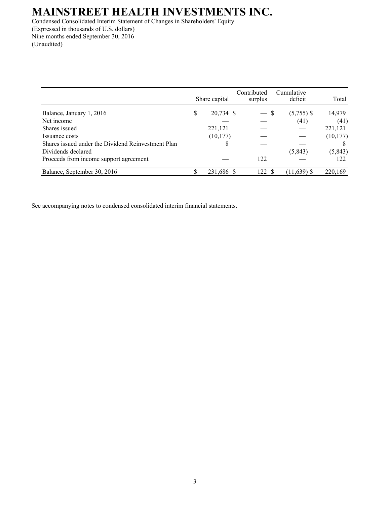Condensed Consolidated Interim Statement of Changes in Shareholders' Equity (Expressed in thousands of U.S. dollars) Nine months ended September 30, 2016 (Unaudited)

|                                                    |   | Share capital | Contributed<br>surplus | Cumulative<br>deficit | Total     |
|----------------------------------------------------|---|---------------|------------------------|-----------------------|-----------|
| Balance, January 1, 2016                           | S | 20,734 \$     |                        | $(5,755)$ \$<br>-S    | 14,979    |
| Net income                                         |   |               |                        | (41)                  | (41)      |
| Shares issued                                      |   | 221,121       |                        |                       | 221,121   |
| Issuance costs                                     |   | (10, 177)     |                        |                       | (10, 177) |
| Shares issued under the Dividend Reinvestment Plan |   | 8             |                        |                       |           |
| Dividends declared                                 |   |               |                        | (5, 843)              | (5, 843)  |
| Proceeds from income support agreement             |   |               | 122                    |                       | 122       |
| Balance, September 30, 2016                        |   | 231,686 \$    | 122                    | $(11,639)$ \$         | 220,169   |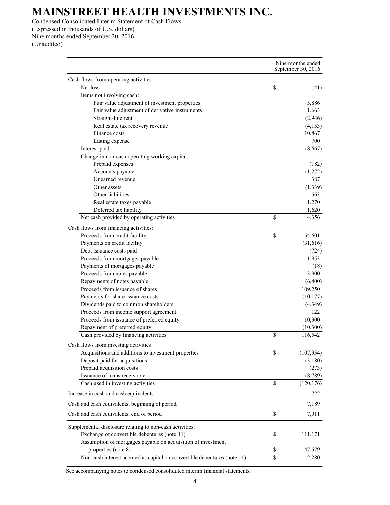Condensed Consolidated Interim Statement of Cash Flows (Expressed in thousands of U.S. dollars) Nine months ended September 30, 2016

(Unaudited)

|                                                                          | Nine months ended<br>September 30, 2016 |
|--------------------------------------------------------------------------|-----------------------------------------|
| Cash flows from operating activities:                                    |                                         |
| Net loss                                                                 | \$<br>(41)                              |
| Items not involving cash:                                                |                                         |
| Fair value adjustment of investment properties                           | 5,886                                   |
| Fair value adjustment of derivative instruments                          | 1,663                                   |
| Straight-line rent                                                       | (2,946)                                 |
| Real estate tax recovery revenue                                         | (4,153)                                 |
| Finance costs                                                            | 10,867                                  |
| Listing expense                                                          | 700                                     |
| Interest paid                                                            | (8,667)                                 |
| Change in non-cash operating working capital:                            |                                         |
| Prepaid expenses                                                         | (182)                                   |
| Accounts payable                                                         | (1,272)                                 |
| Unearned revenue                                                         | 387                                     |
| Other assets                                                             | (1, 339)                                |
| Other liabilities                                                        | 563                                     |
| Real estate taxes payable                                                | 1,270                                   |
| Deferred tax liability                                                   | 1,620                                   |
| Net cash provided by operating activities                                | \$<br>4,356                             |
| Cash flows from financing activities:                                    |                                         |
| Proceeds from credit facility                                            | \$<br>54,601                            |
| Payments on credit facility                                              | (31,616)                                |
| Debt issuance costs paid                                                 | (724)                                   |
| Proceeds from mortgages payable                                          | 1,953                                   |
| Payments of mortgages payable                                            | (18)                                    |
| Proceeds from notes payable                                              | 3,900                                   |
| Repayments of notes payable                                              | (6,400)                                 |
| Proceeds from issuance of shares                                         | 109,250                                 |
| Payments for share issuance costs                                        | (10, 177)                               |
| Dividends paid to common shareholders                                    | (4,349)                                 |
| Proceeds from income support agreement                                   | 122                                     |
| Proceeds from issuance of preferred equity                               | 10,300                                  |
| Repayment of preferred equity                                            | (10, 300)                               |
| Cash provided by financing activities                                    | \$<br>116,542                           |
| Cash flows from investing activities                                     |                                         |
| Acquisitions and additions to investment properties                      | \$<br>(107, 934)                        |
| Deposit paid for acquisitions                                            | (3,180)                                 |
| Prepaid acquisition costs                                                | (273)                                   |
| Issuance of loans receivable                                             | (8,789)                                 |
| Cash used in investing activities                                        | \$<br>(120, 176)                        |
| Increase in cash and cash equivalents                                    | 722                                     |
| Cash and cash equivalents, beginning of period                           | 7,189                                   |
| Cash and cash equivalents, end of period                                 | \$<br>7,911                             |
| Supplemental disclosure relating to non-cash activities:                 |                                         |
| Exchange of convertible debentures (note 11)                             | \$<br>111,171                           |
| Assumption of mortgages payable on acquisition of investment             |                                         |
| properties (note 8)                                                      | \$<br>47,579                            |
| Non-cash interest accrued as capital on convertible debentures (note 11) | \$<br>2,280                             |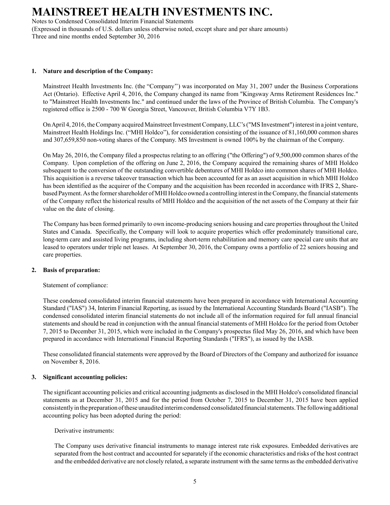Notes to Condensed Consolidated Interim Financial Statements (Expressed in thousands of U.S. dollars unless otherwise noted, except share and per share amounts) Three and nine months ended September 30, 2016

### **1. Nature and description of the Company:**

Mainstreet Health Investments Inc. (the "Company'') was incorporated on May 31, 2007 under the Business Corporations Act (Ontario). Effective April 4, 2016, the Company changed its name from "Kingsway Arms Retirement Residences Inc." to "Mainstreet Health Investments Inc." and continued under the laws of the Province of British Columbia. The Company's registered office is 2500 - 700 W Georgia Street, Vancouver, British Columbia V7Y 1B3.

On April 4, 2016, the Company acquired Mainstreet Investment Company, LLC's ("MS Investment") interest in a joint venture, Mainstreet Health Holdings Inc. ("MHI Holdco"), for consideration consisting of the issuance of 81,160,000 common shares and 307,659,850 non-voting shares of the Company. MS Investment is owned 100% by the chairman of the Company.

On May 26, 2016, the Company filed a prospectus relating to an offering ("the Offering") of 9,500,000 common shares of the Company. Upon completion of the offering on June 2, 2016, the Company acquired the remaining shares of MHI Holdco subsequent to the conversion of the outstanding convertible debentures of MHI Holdco into common shares of MHI Holdco. This acquisition is a reverse takeover transaction which has been accounted for as an asset acquisition in which MHI Holdco has been identified as the acquirer of the Company and the acquisition has been recorded in accordance with IFRS 2, Sharebased Payment. As the former shareholder of MHI Holdco owned a controlling interest in the Company, the financial statements of the Company reflect the historical results of MHI Holdco and the acquisition of the net assets of the Company at their fair value on the date of closing.

The Company has been formed primarily to own income-producing seniors housing and care properties throughout the United States and Canada. Specifically, the Company will look to acquire properties which offer predominately transitional care, long-term care and assisted living programs, including short-term rehabilitation and memory care special care units that are leased to operators under triple net leases. At September 30, 2016, the Company owns a portfolio of 22 seniors housing and care properties.

### **2. Basis of preparation:**

Statement of compliance:

These condensed consolidated interim financial statements have been prepared in accordance with International Accounting Standard ("IAS") 34, Interim Financial Reporting, as issued by the International Accounting Standards Board ("IASB"). The condensed consolidated interim financial statements do not include all of the information required for full annual financial statements and should be read in conjunction with the annual financial statements of MHI Holdco for the period from October 7, 2015 to December 31, 2015, which were included in the Company's prospectus filed May 26, 2016, and which have been prepared in accordance with International Financial Reporting Standards ("IFRS"), as issued by the IASB.

These consolidated financial statements were approved by the Board of Directors of the Company and authorized for issuance on November 8, 2016.

### **3. Significant accounting policies:**

The significant accounting policies and critical accounting judgments as disclosed in the MHI Holdco's consolidated financial statements as at December 31, 2015 and for the period from October 7, 2015 to December 31, 2015 have been applied consistently in the preparation of these unaudited interim condensed consolidated financial statements. The following additional accounting policy has been adopted during the period:

Derivative instruments:

The Company uses derivative financial instruments to manage interest rate risk exposures. Embedded derivatives are separated from the host contract and accounted for separately if the economic characteristics and risks of the host contract and the embedded derivative are not closely related, a separate instrument with the same terms as the embedded derivative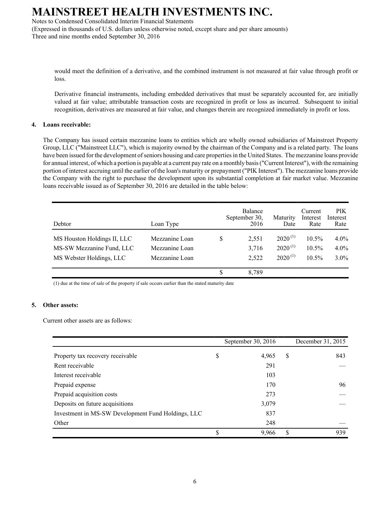Notes to Condensed Consolidated Interim Financial Statements

(Expressed in thousands of U.S. dollars unless otherwise noted, except share and per share amounts) Three and nine months ended September 30, 2016

would meet the definition of a derivative, and the combined instrument is not measured at fair value through profit or loss.

Derivative financial instruments, including embedded derivatives that must be separately accounted for, are initially valued at fair value; attributable transaction costs are recognized in profit or loss as incurred. Subsequent to initial recognition, derivatives are measured at fair value, and changes therein are recognized immediately in profit or loss.

### **4. Loans receivable:**

The Company has issued certain mezzanine loans to entities which are wholly owned subsidiaries of Mainstreet Property Group, LLC ("Mainstreet LLC"), which is majority owned by the chairman of the Company and is a related party. The loans have been issued for the development of seniors housing and care properties in the United States. The mezzanine loans provide for annual interest, of which a portion is payable at a current pay rate on a monthly basis ("Current Interest"), with the remaining portion of interest accruing until the earlier of the loan's maturity or prepayment ("PIK Interest"). The mezzanine loans provide the Company with the right to purchase the development upon its substantial completion at fair market value. Mezzanine loans receivable issued as of September 30, 2016 are detailed in the table below:

| Debtor                      | Loan Type      | Balance<br>September 30,<br>2016 | Maturity<br>Date | Current<br>Interest<br>Rate | <b>PIK</b><br>Interest<br>Rate |
|-----------------------------|----------------|----------------------------------|------------------|-----------------------------|--------------------------------|
| MS Houston Holdings II, LLC | Mezzanine Loan | \$<br>2,551                      | $2020^{(1)}$     | 10.5%                       | $4.0\%$                        |
| MS-SW Mezzanine Fund, LLC   | Mezzanine Loan | 3,716                            | $2020^{(1)}$     | $10.5\%$                    | $4.0\%$                        |
| MS Webster Holdings, LLC    | Mezzanine Loan | 2,522                            | $2020^{(1)}$     | $10.5\%$                    | $3.0\%$                        |
|                             |                | \$<br>8.789                      |                  |                             |                                |

(1) due at the time of sale of the property if sale occurs earlier than the stated maturity date

### **5. Other assets:**

Current other assets are as follows:

|                                                    | September 30, 2016 |   | December 31, 2015 |
|----------------------------------------------------|--------------------|---|-------------------|
| Property tax recovery receivable                   | \$<br>4,965        | S | 843               |
| Rent receivable                                    | 291                |   |                   |
| Interest receivable                                | 103                |   |                   |
| Prepaid expense                                    | 170                |   | 96                |
| Prepaid acquisition costs                          | 273                |   |                   |
| Deposits on future acquisitions                    | 3,079              |   |                   |
| Investment in MS-SW Development Fund Holdings, LLC | 837                |   |                   |
| Other                                              | 248                |   |                   |
|                                                    | \$<br>9,966        | S | 939               |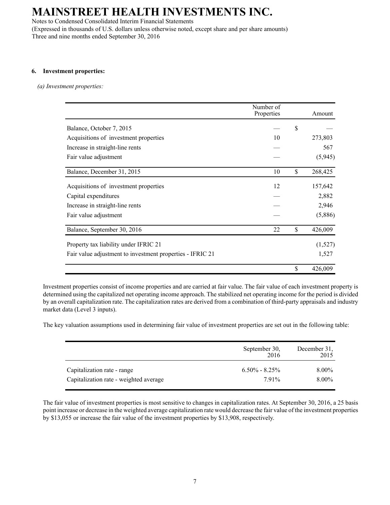Notes to Condensed Consolidated Interim Financial Statements (Expressed in thousands of U.S. dollars unless otherwise noted, except share and per share amounts) Three and nine months ended September 30, 2016

### **6. Investment properties:**

*(a) Investment properties:*

|                                                           | Number of<br>Properties | Amount        |
|-----------------------------------------------------------|-------------------------|---------------|
| Balance, October 7, 2015                                  |                         | \$            |
| Acquisitions of investment properties                     | 10                      | 273,803       |
| Increase in straight-line rents                           |                         | 567           |
| Fair value adjustment                                     |                         | (5, 945)      |
| Balance, December 31, 2015                                | 10                      | \$<br>268,425 |
| Acquisitions of investment properties                     | 12                      | 157,642       |
| Capital expenditures                                      |                         | 2,882         |
| Increase in straight-line rents                           |                         | 2,946         |
| Fair value adjustment                                     |                         | (5,886)       |
| Balance, September 30, 2016                               | 22                      | \$<br>426,009 |
| Property tax liability under IFRIC 21                     |                         | (1,527)       |
| Fair value adjustment to investment properties - IFRIC 21 |                         | 1,527         |
|                                                           |                         | \$<br>426,009 |

Investment properties consist of income properties and are carried at fair value. The fair value of each investment property is determined using the capitalized net operating income approach. The stabilized net operating income for the period is divided by an overall capitalization rate. The capitalization rates are derived from a combination of third-party appraisals and industry market data (Level 3 inputs).

The key valuation assumptions used in determining fair value of investment properties are set out in the following table:

|                                        | September 30,<br>2016 | December 31,<br>2015 |
|----------------------------------------|-----------------------|----------------------|
| Capitalization rate - range            | $6.50\% - 8.25\%$     | $8.00\%$             |
| Capitalization rate - weighted average | 791%                  | 8.00%                |

The fair value of investment properties is most sensitive to changes in capitalization rates. At September 30, 2016, a 25 basis point increase or decrease in the weighted average capitalization rate would decrease the fair value of the investment properties by \$13,055 or increase the fair value of the investment properties by \$13,908, respectively.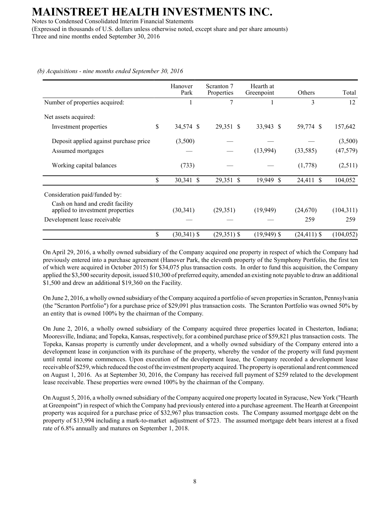Notes to Condensed Consolidated Interim Financial Statements (Expressed in thousands of U.S. dollars unless otherwise noted, except share and per share amounts) Three and nine months ended September 30, 2016

|                                                                      | Hanover<br>Park      | Scranton 7<br>Properties | Hearth at<br>Greenpoint | Others         | Total      |
|----------------------------------------------------------------------|----------------------|--------------------------|-------------------------|----------------|------------|
| Number of properties acquired:                                       |                      | 7                        |                         | 3              | 12         |
| Net assets acquired:                                                 |                      |                          |                         |                |            |
| Investment properties                                                | \$<br>34,574 \$      | 29,351 \$                | 33,943 \$               | 59,774 \$      | 157,642    |
| Deposit applied against purchase price                               | (3,500)              |                          |                         |                | (3,500)    |
| Assumed mortgages                                                    |                      |                          | (13,994)                | (33, 585)      | (47, 579)  |
| Working capital balances                                             | (733)                |                          |                         | (1,778)        | (2,511)    |
|                                                                      | \$<br>30,341 \$      | 29,351 \$                | 19,949 \$               | 24,411 \$      | 104,052    |
| Consideration paid/funded by:                                        |                      |                          |                         |                |            |
| Cash on hand and credit facility<br>applied to investment properties | (30, 341)            | (29,351)                 | (19,949)                | (24,670)       | (104,311)  |
| Development lease receivable                                         |                      |                          |                         | 259            | 259        |
|                                                                      | \$<br>$(30, 341)$ \$ | $(29,351)$ \$            | $(19,949)$ \$           | $(24, 411)$ \$ | (104, 052) |

*(b) Acquisitions - nine months ended September 30, 2016*

On April 29, 2016, a wholly owned subsidiary of the Company acquired one property in respect of which the Company had previously entered into a purchase agreement (Hanover Park, the eleventh property of the Symphony Portfolio, the first ten of which were acquired in October 2015) for \$34,075 plus transaction costs. In order to fund this acquisition, the Company applied the \$3,500 security deposit, issued \$10,300 of preferred equity, amended an existing note payable to draw an additional \$1,500 and drew an additional \$19,360 on the Facility.

On June 2, 2016, a wholly owned subsidiary of the Company acquired a portfolio of seven properties in Scranton, Pennsylvania (the "Scranton Portfolio") for a purchase price of \$29,091 plus transaction costs. The Scranton Portfolio was owned 50% by an entity that is owned 100% by the chairman of the Company.

On June 2, 2016, a wholly owned subsidiary of the Company acquired three properties located in Chesterton, Indiana; Mooresville, Indiana; and Topeka, Kansas, respectively, for a combined purchase price of \$59,821 plus transaction costs. The Topeka, Kansas property is currently under development, and a wholly owned subsidiary of the Company entered into a development lease in conjunction with its purchase of the property, whereby the vendor of the property will fund payment until rental income commences. Upon execution of the development lease, the Company recorded a development lease receivable of \$259, which reduced the cost of the investment property acquired. The property is operational and rent commenced on August 1, 2016. As at September 30, 2016, the Company has received full payment of \$259 related to the development lease receivable. These properties were owned 100% by the chairman of the Company.

On August 5, 2016, a wholly owned subsidiary of the Company acquired one property located in Syracuse, New York ("Hearth at Greenpoint") in respect of which the Company had previously entered into a purchase agreement. The Hearth at Greenpoint property was acquired for a purchase price of \$32,967 plus transaction costs. The Company assumed mortgage debt on the property of \$13,994 including a mark-to-market adjustment of \$723. The assumed mortgage debt bears interest at a fixed rate of 6.8% annually and matures on September 1, 2018.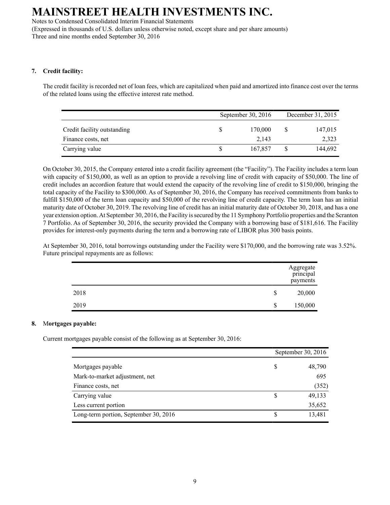Notes to Condensed Consolidated Interim Financial Statements (Expressed in thousands of U.S. dollars unless otherwise noted, except share and per share amounts) Three and nine months ended September 30, 2016

### **7. Credit facility:**

The credit facility is recorded net of loan fees, which are capitalized when paid and amortized into finance cost over the terms of the related loans using the effective interest rate method.

|                             | September 30, 2016 |  | December 31, 2015 |
|-----------------------------|--------------------|--|-------------------|
| Credit facility outstanding | 170,000            |  | 147,015           |
| Finance costs, net          | 2.143              |  | 2,323             |
| Carrying value              | 167.857            |  | 144,692           |

On October 30, 2015, the Company entered into a credit facility agreement (the "Facility"). The Facility includes a term loan with capacity of \$150,000, as well as an option to provide a revolving line of credit with capacity of \$50,000. The line of credit includes an accordion feature that would extend the capacity of the revolving line of credit to \$150,000, bringing the total capacity of the Facility to \$300,000. As of September 30, 2016, the Company has received commitments from banks to fulfill \$150,000 of the term loan capacity and \$50,000 of the revolving line of credit capacity. The term loan has an initial maturity date of October 30, 2019. The revolving line of credit has an initial maturity date of October 30, 2018, and has a one year extension option. At September 30, 2016, the Facility is secured by the 11 Symphony Portfolio properties and the Scranton 7 Portfolio. As of September 30, 2016, the security provided the Company with a borrowing base of \$181,616. The Facility provides for interest-only payments during the term and a borrowing rate of LIBOR plus 300 basis points.

At September 30, 2016, total borrowings outstanding under the Facility were \$170,000, and the borrowing rate was 3.52%. Future principal repayments are as follows:

|      | Aggregate<br>principal<br>payments |
|------|------------------------------------|
| 2018 | \$<br>20,000                       |
| 2019 | \$<br>150,000                      |

### **8.** M**ortgages payable:**

Current mortgages payable consist of the following as at September 30, 2016:

|                                       |   | September 30, 2016 |
|---------------------------------------|---|--------------------|
| Mortgages payable                     | S | 48,790             |
| Mark-to-market adjustment, net        |   | 695                |
| Finance costs, net                    |   | (352)              |
| Carrying value                        |   | 49,133             |
| Less current portion                  |   | 35,652             |
| Long-term portion, September 30, 2016 |   | 13,481             |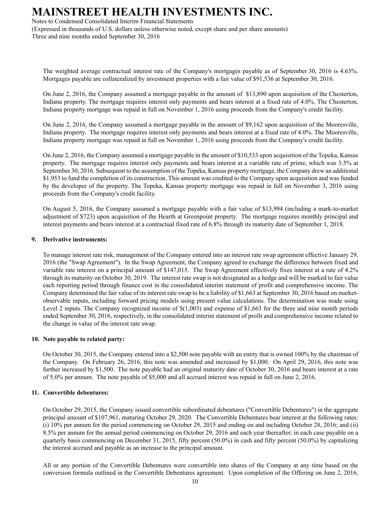Notes to Condensed Consolidated Interim Financial Statements

(Expressed in thousands of U.S. dollars unless otherwise noted, except share and per share amounts) Three and nine months ended September 30, 2016

The weighted average contractual interest rate of the Company's mortgages payable as of September 30, 2016 is 4.63%. Mortgages payable are collateralized by investment properties with a fair value of \$91,536 at September 30, 2016.

On June 2, 2016, the Company assumed a mortgage payable in the amount of \$13,890 upon acquisition of the Chesterton, Indiana property. The mortgage requires interest only payments and bears interest at a fixed rate of 4.0%. The Chesterton, Indiana property mortgage was repaid in full on November 1, 2016 using proceeds from the Company's credit facility.

On June 2, 2016, the Company assumed a mortgage payable in the amount of \$9,162 upon acquisition of the Mooresville, Indiana property. The mortgage requires interest only payments and bears interest at a fixed rate of 4.0%. The Mooresville, Indiana property mortgage was repaid in full on November 1, 2016 using proceeds from the Company's credit facility.

On June 2, 2016, the Company assumed a mortgage payable in the amount of \$10,533 upon acquisition of the Topeka, Kansas property. The mortgage requires interest only payments and bears interest at a variable rate of prime, which was 3.5% at September 30, 2016. Subsequent to the assumption of the Topeka, Kansas property mortgage, the Company drew an additional \$1,953 to fund the completion of its construction. This amount was credited to the Company upon acquisition and was funded by the developer of the property. The Topeka, Kansas property mortgage was repaid in full on November 3, 2016 using proceeds from the Company's credit facility.

On August 5, 2016, the Company assumed a mortgage payable with a fair value of \$13,994 (including a mark-to-market adjustment of \$723) upon acquisition of the Hearth at Greenpoint property. The mortgage requires monthly principal and interest payments and bears interest at a contractual fixed rate of 6.8% through its maturity date of September 1, 2018.

### **9. Derivative instruments:**

To manage interest rate risk, management of the Company entered into an interest rate swap agreement effective January 29, 2016 (the "Swap Agreement"). In the Swap Agreement, the Company agreed to exchange the difference between fixed and variable rate interest on a principal amount of \$147,015. The Swap Agreement effectively fixes interest at a rate of 4.2% through its maturity on October 30, 2019. The interest rate swap is not designated as a hedge and will be marked to fair value each reporting period through finance cost in the consolidated interim statement of profit and comprehensive income. The Company determined the fair value of its interest rate swap to be a liability of \$1,663 at September 30, 2016 based on marketobservable inputs, including forward pricing models using present value calculations. The determination was made using Level 2 inputs. The Company recognized income of \$(1,003) and expense of \$1,663 for the three and nine month periods ended September 30, 2016, respectively, in the consolidated interim statement of profit and comprehensive income related to the change in value of the interest rate swap.

### **10. Note payable to related party:**

On October 30, 2015, the Company entered into a \$2,500 note payable with an entity that is owned 100% by the chairman of the Company. On February 26, 2016, this note was amended and increased by \$1,000. On April 29, 2016, this note was further increased by \$1,500. The note payable had an original maturity date of October 30, 2016 and bears interest at a rate of 5.0% per annum. The note payable of \$5,000 and all accrued interest was repaid in full on June 2, 2016.

### **11. Convertible debentures:**

On October 29, 2015, the Company issued convertible subordinated debentures ("Convertible Debentures") in the aggregate principal amount of \$107,961, maturing October 29, 2020. The Convertible Debentures bear interest at the following rates: (i) 10% per annum for the period commencing on October 29, 2015 and ending on and including October 28, 2016; and (ii) 8.5% per annum for the annual period commencing on October 29, 2016 and each year thereafter; in each case payable on a quarterly basis commencing on December 31, 2015, fifty percent (50.0%) in cash and fifty percent (50.0%) by capitalizing the interest accrued and payable as an increase to the principal amount.

All or any portion of the Convertible Debentures were convertible into shares of the Company at any time based on the conversion formula outlined in the Convertible Debentures agreement. Upon completion of the Offering on June 2, 2016,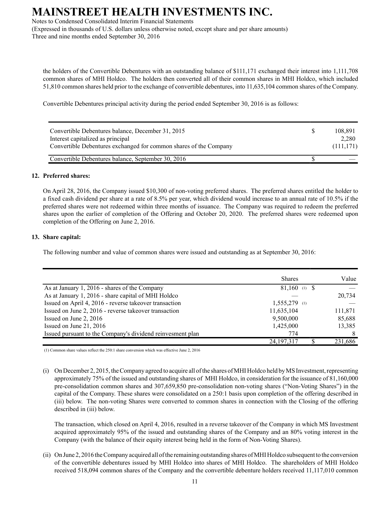Notes to Condensed Consolidated Interim Financial Statements

(Expressed in thousands of U.S. dollars unless otherwise noted, except share and per share amounts) Three and nine months ended September 30, 2016

the holders of the Convertible Debentures with an outstanding balance of \$111,171 exchanged their interest into 1,111,708 common shares of MHI Holdco. The holders then converted all of their common shares in MHI Holdco, which included 51,810 common shares held prior to the exchange of convertible debentures, into 11,635,104 common shares of the Company.

Convertible Debentures principal activity during the period ended September 30, 2016 is as follows:

| Convertible Debentures balance, December 31, 2015<br>Interest capitalized as principal<br>Convertible Debentures exchanged for common shares of the Company | S | 108,891<br>2.280<br>(111, 171) |
|-------------------------------------------------------------------------------------------------------------------------------------------------------------|---|--------------------------------|
| Convertible Debentures balance, September 30, 2016                                                                                                          |   |                                |

### **12. Preferred shares:**

On April 28, 2016, the Company issued \$10,300 of non-voting preferred shares. The preferred shares entitled the holder to a fixed cash dividend per share at a rate of 8.5% per year, which dividend would increase to an annual rate of 10.5% if the preferred shares were not redeemed within three months of issuance. The Company was required to redeem the preferred shares upon the earlier of completion of the Offering and October 20, 2020. The preferred shares were redeemed upon completion of the Offering on June 2, 2016.

### **13. Share capital:**

The following number and value of common shares were issued and outstanding as at September 30, 2016:

|                                                            | <b>Shares</b>   | Value   |
|------------------------------------------------------------|-----------------|---------|
| As at January 1, 2016 - shares of the Company              | $81,160$ (1) \$ |         |
| As at January 1, 2016 - share capital of MHI Holdco        |                 | 20,734  |
| Issued on April 4, 2016 - reverse takeover transaction     | $1,555,279$ (1) |         |
| Issued on June 2, 2016 - reverse takeover transaction      | 11,635,104      | 111,871 |
| Issued on June 2, 2016                                     | 9,500,000       | 85,688  |
| Issued on June 21, 2016                                    | 1,425,000       | 13,385  |
| Issued pursuant to the Company's dividend reinvesment plan | 774             |         |
|                                                            | 24, 197, 317    | 231.686 |

(1) Common share values reflect the 250:1 share conversion which was effective June 2, 2016

(i) On December 2, 2015, the Company agreed to acquire all of the shares of MHI Holdco held by MS Investment, representing approximately 75% of the issued and outstanding shares of MHI Holdco, in consideration for the issuance of 81,160,000 pre-consolidation common shares and 307,659,850 pre-consolidation non-voting shares ("Non-Voting Shares") in the capital of the Company. These shares were consolidated on a 250:1 basis upon completion of the offering described in (iii) below. The non-voting Shares were converted to common shares in connection with the Closing of the offering described in (iii) below.

The transaction, which closed on April 4, 2016, resulted in a reverse takeover of the Company in which MS Investment acquired approximately 95% of the issued and outstanding shares of the Company and an 80% voting interest in the Company (with the balance of their equity interest being held in the form of Non-Voting Shares).

(ii) On June 2, 2016 the Company acquired all of the remaining outstanding shares of MHI Holdco subsequent to the conversion of the convertible debentures issued by MHI Holdco into shares of MHI Holdco. The shareholders of MHI Holdco received 518,094 common shares of the Company and the convertible debenture holders received 11,117,010 common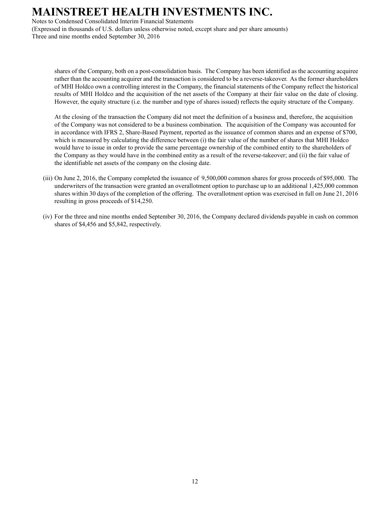Notes to Condensed Consolidated Interim Financial Statements

(Expressed in thousands of U.S. dollars unless otherwise noted, except share and per share amounts) Three and nine months ended September 30, 2016

shares of the Company, both on a post-consolidation basis. The Company has been identified as the accounting acquiree rather than the accounting acquirer and the transaction is considered to be a reverse-takeover. As the former shareholders of MHI Holdco own a controlling interest in the Company, the financial statements of the Company reflect the historical results of MHI Holdco and the acquisition of the net assets of the Company at their fair value on the date of closing. However, the equity structure (i.e. the number and type of shares issued) reflects the equity structure of the Company.

At the closing of the transaction the Company did not meet the definition of a business and, therefore, the acquisition of the Company was not considered to be a business combination. The acquisition of the Company was accounted for in accordance with IFRS 2, Share-Based Payment, reported as the issuance of common shares and an expense of \$700, which is measured by calculating the difference between (i) the fair value of the number of shares that MHI Holdco would have to issue in order to provide the same percentage ownership of the combined entity to the shareholders of the Company as they would have in the combined entity as a result of the reverse-takeover; and (ii) the fair value of the identifiable net assets of the company on the closing date.

- (iii) On June 2, 2016, the Company completed the issuance of 9,500,000 common shares for gross proceeds of \$95,000. The underwriters of the transaction were granted an overallotment option to purchase up to an additional 1,425,000 common shares within 30 days of the completion of the offering. The overallotment option was exercised in full on June 21, 2016 resulting in gross proceeds of \$14,250.
- (iv) For the three and nine months ended September 30, 2016, the Company declared dividends payable in cash on common shares of \$4,456 and \$5,842, respectively.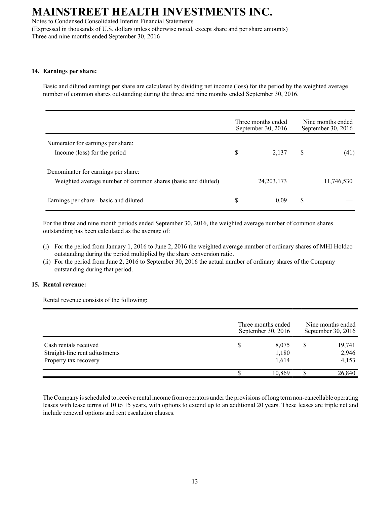Notes to Condensed Consolidated Interim Financial Statements

(Expressed in thousands of U.S. dollars unless otherwise noted, except share and per share amounts) Three and nine months ended September 30, 2016

### **14. Earnings per share:**

Basic and diluted earnings per share are calculated by dividing net income (loss) for the period by the weighted average number of common shares outstanding during the three and nine months ended September 30, 2016.

|                                                                                                     |    | Three months ended<br>September 30, 2016 | Nine months ended<br>September 30, 2016 |            |
|-----------------------------------------------------------------------------------------------------|----|------------------------------------------|-----------------------------------------|------------|
| Numerator for earnings per share:<br>Income (loss) for the period                                   | \$ | 2.137                                    | \$                                      | (41)       |
| Denominator for earnings per share:<br>Weighted average number of common shares (basic and diluted) |    | 24, 203, 173                             |                                         | 11,746,530 |
| Earnings per share - basic and diluted                                                              | \$ | 0.09                                     | \$                                      |            |

For the three and nine month periods ended September 30, 2016, the weighted average number of common shares outstanding has been calculated as the average of:

- (i) For the period from January 1, 2016 to June 2, 2016 the weighted average number of ordinary shares of MHI Holdco outstanding during the period multiplied by the share conversion ratio.
- (ii) For the period from June 2, 2016 to September 30, 2016 the actual number of ordinary shares of the Company outstanding during that period.

### **15. Rental revenue:**

Rental revenue consists of the following:

|                                                                                  | Three months ended<br>September 30, 2016 |                         | Nine months ended<br>September 30, 2016 |                          |  |
|----------------------------------------------------------------------------------|------------------------------------------|-------------------------|-----------------------------------------|--------------------------|--|
| Cash rentals received<br>Straight-line rent adjustments<br>Property tax recovery |                                          | 8,075<br>1,180<br>1,614 | S                                       | 19,741<br>2,946<br>4,153 |  |
|                                                                                  |                                          | 10,869                  |                                         | 26,840                   |  |

The Company is scheduled to receive rental income from operators under the provisions of long term non-cancellable operating leases with lease terms of 10 to 15 years, with options to extend up to an additional 20 years. These leases are triple net and include renewal options and rent escalation clauses.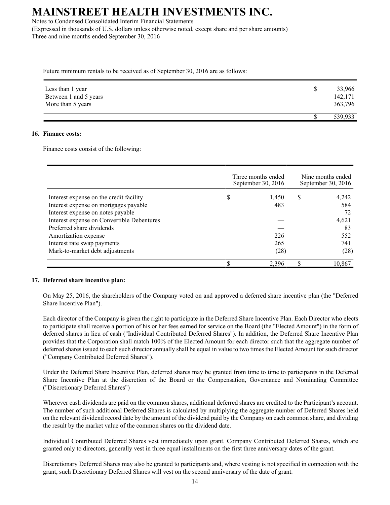Notes to Condensed Consolidated Interim Financial Statements (Expressed in thousands of U.S. dollars unless otherwise noted, except share and per share amounts) Three and nine months ended September 30, 2016

Future minimum rentals to be received as of September 30, 2016 are as follows:

| Less than 1 year                           | 33,966             |
|--------------------------------------------|--------------------|
| Between 1 and 5 years<br>More than 5 years | 142,171<br>363,796 |
|                                            | 539,933            |

### **16. Finance costs:**

Finance costs consist of the following:

|                                            | Three months ended<br>September 30, 2016 |       | Nine months ended<br>September 30, $2016$ |        |
|--------------------------------------------|------------------------------------------|-------|-------------------------------------------|--------|
| Interest expense on the credit facility    | \$                                       | 1,450 | S                                         | 4,242  |
| Interest expense on mortgages payable      |                                          | 483   |                                           | 584    |
| Interest expense on notes payable          |                                          |       |                                           | 72     |
| Interest expense on Convertible Debentures |                                          |       |                                           | 4,621  |
| Preferred share dividends                  |                                          |       |                                           | 83     |
| Amortization expense                       |                                          | 226   |                                           | 552    |
| Interest rate swap payments                |                                          | 265   |                                           | 741    |
| Mark-to-market debt adjustments            |                                          | (28)  |                                           | (28)   |
|                                            |                                          | 2.396 |                                           | 10,867 |

### **17. Deferred share incentive plan:**

On May 25, 2016, the shareholders of the Company voted on and approved a deferred share incentive plan (the "Deferred Share Incentive Plan").

Each director of the Company is given the right to participate in the Deferred Share Incentive Plan. Each Director who elects to participate shall receive a portion of his or her fees earned for service on the Board (the "Elected Amount") in the form of deferred shares in lieu of cash ("Individual Contributed Deferred Shares"). In addition, the Deferred Share Incentive Plan provides that the Corporation shall match 100% of the Elected Amount for each director such that the aggregate number of deferred shares issued to each such director annually shall be equal in value to two times the Elected Amount for such director ("Company Contributed Deferred Shares").

Under the Deferred Share Incentive Plan, deferred shares may be granted from time to time to participants in the Deferred Share Incentive Plan at the discretion of the Board or the Compensation, Governance and Nominating Committee ("Discretionary Deferred Shares")

Wherever cash dividends are paid on the common shares, additional deferred shares are credited to the Participant's account. The number of such additional Deferred Shares is calculated by multiplying the aggregate number of Deferred Shares held on the relevant dividend record date by the amount of the dividend paid by the Company on each common share, and dividing the result by the market value of the common shares on the dividend date.

Individual Contributed Deferred Shares vest immediately upon grant. Company Contributed Deferred Shares, which are granted only to directors, generally vest in three equal installments on the first three anniversary dates of the grant.

Discretionary Deferred Shares may also be granted to participants and, where vesting is not specified in connection with the grant, such Discretionary Deferred Shares will vest on the second anniversary of the date of grant.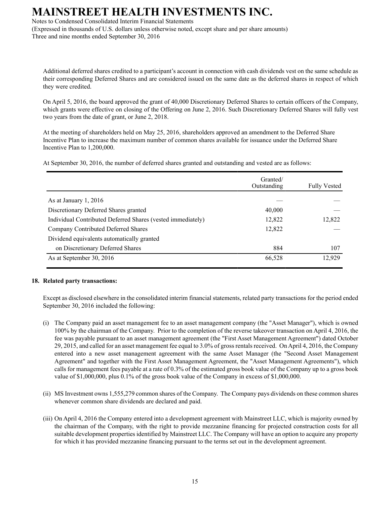Notes to Condensed Consolidated Interim Financial Statements

(Expressed in thousands of U.S. dollars unless otherwise noted, except share and per share amounts) Three and nine months ended September 30, 2016

Additional deferred shares credited to a participant's account in connection with cash dividends vest on the same schedule as their corresponding Deferred Shares and are considered issued on the same date as the deferred shares in respect of which they were credited.

On April 5, 2016, the board approved the grant of 40,000 Discretionary Deferred Shares to certain officers of the Company, which grants were effective on closing of the Offering on June 2, 2016. Such Discretionary Deferred Shares will fully vest two years from the date of grant, or June 2, 2018.

At the meeting of shareholders held on May 25, 2016, shareholders approved an amendment to the Deferred Share Incentive Plan to increase the maximum number of common shares available for issuance under the Deferred Share Incentive Plan to 1,200,000.

At September 30, 2016, the number of deferred shares granted and outstanding and vested are as follows:

|                                                             | Granted/<br>Outstanding | <b>Fully Vested</b> |
|-------------------------------------------------------------|-------------------------|---------------------|
| As at January 1, 2016                                       |                         |                     |
| Discretionary Deferred Shares granted                       | 40,000                  |                     |
| Individual Contributed Deferred Shares (vested immediately) | 12,822                  | 12,822              |
| Company Contributed Deferred Shares                         | 12,822                  |                     |
| Dividend equivalents automatically granted                  |                         |                     |
| on Discretionary Deferred Shares                            | 884                     | 107                 |
| As at September 30, 2016                                    | 66,528                  | 12,929              |
|                                                             |                         |                     |

### **18. Related party transactions:**

Except as disclosed elsewhere in the consolidated interim financial statements, related party transactions for the period ended September 30, 2016 included the following:

- (i) The Company paid an asset management fee to an asset management company (the "Asset Manager"), which is owned 100% by the chairman of the Company. Prior to the completion of the reverse takeover transaction on April 4, 2016, the fee was payable pursuant to an asset management agreement (the "First Asset Management Agreement") dated October 29, 2015, and called for an asset management fee equal to 3.0% of gross rentals received. On April 4, 2016, the Company entered into a new asset management agreement with the same Asset Manager (the "Second Asset Management Agreement" and together with the First Asset Management Agreement, the "Asset Management Agreements"), which calls for management fees payable at a rate of 0.3% of the estimated gross book value of the Company up to a gross book value of \$1,000,000, plus 0.1% of the gross book value of the Company in excess of \$1,000,000.
- (ii) MS Investment owns 1,555,279 common shares of the Company. The Company pays dividends on these common shares whenever common share dividends are declared and paid.
- (iii) On April 4, 2016 the Company entered into a development agreement with Mainstreet LLC, which is majority owned by the chairman of the Company, with the right to provide mezzanine financing for projected construction costs for all suitable development properties identified by Mainstreet LLC. The Company will have an option to acquire any property for which it has provided mezzanine financing pursuant to the terms set out in the development agreement.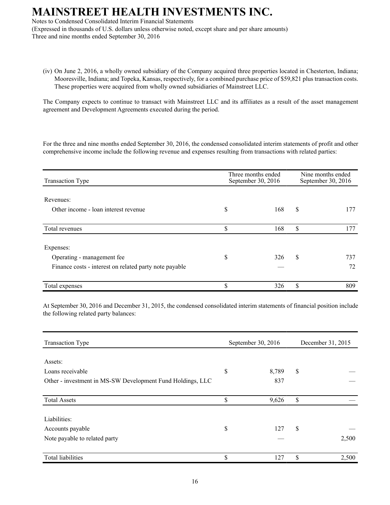Notes to Condensed Consolidated Interim Financial Statements (Expressed in thousands of U.S. dollars unless otherwise noted, except share and per share amounts)

Three and nine months ended September 30, 2016

(iv) On June 2, 2016, a wholly owned subsidiary of the Company acquired three properties located in Chesterton, Indiana; Mooresville, Indiana; and Topeka, Kansas, respectively, for a combined purchase price of \$59,821 plus transaction costs. These properties were acquired from wholly owned subsidiaries of Mainstreet LLC.

The Company expects to continue to transact with Mainstreet LLC and its affiliates as a result of the asset management agreement and Development Agreements executed during the period.

For the three and nine months ended September 30, 2016, the condensed consolidated interim statements of profit and other comprehensive income include the following revenue and expenses resulting from transactions with related parties:

| <b>Transaction Type</b>                                | Three months ended<br>September 30, 2016 | Nine months ended<br>September 30, 2016 |     |
|--------------------------------------------------------|------------------------------------------|-----------------------------------------|-----|
| Revenues:                                              |                                          |                                         |     |
| Other income - loan interest revenue                   | \$<br>168                                | \$                                      | 177 |
| Total revenues                                         | \$<br>168                                | \$                                      | 177 |
| Expenses:                                              |                                          |                                         |     |
| Operating - management fee                             | \$<br>326                                | \$                                      | 737 |
| Finance costs - interest on related party note payable |                                          |                                         | 72  |
| Total expenses                                         | \$<br>326                                | \$                                      | 809 |

At September 30, 2016 and December 31, 2015, the condensed consolidated interim statements of financial position include the following related party balances:

| <b>Transaction Type</b>                                    |    | September 30, 2016 | December 31, 2015 |       |  |
|------------------------------------------------------------|----|--------------------|-------------------|-------|--|
|                                                            |    |                    |                   |       |  |
| Assets:                                                    |    |                    |                   |       |  |
| Loans receivable                                           | \$ | 8,789              | \$                |       |  |
| Other - investment in MS-SW Development Fund Holdings, LLC |    | 837                |                   |       |  |
| <b>Total Assets</b>                                        | \$ | 9,626              | \$                |       |  |
|                                                            |    |                    |                   |       |  |
| Liabilities:                                               |    |                    |                   |       |  |
| Accounts payable                                           | \$ | 127                | \$                |       |  |
| Note payable to related party                              |    |                    |                   | 2,500 |  |
| <b>Total liabilities</b>                                   | \$ | 127                | \$                | 2,500 |  |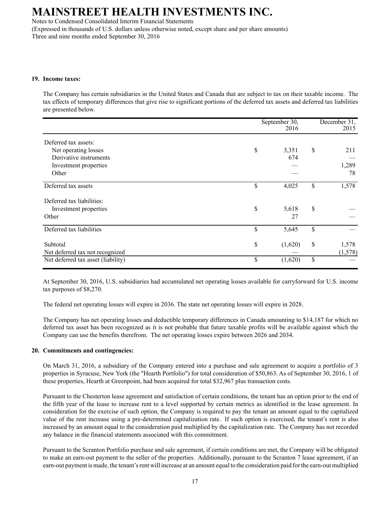Notes to Condensed Consolidated Interim Financial Statements

(Expressed in thousands of U.S. dollars unless otherwise noted, except share and per share amounts) Three and nine months ended September 30, 2016

#### **19. Income taxes:**

The Company has certain subsidiaries in the United States and Canada that are subject to tax on their taxable income. The tax effects of temporary differences that give rise to significant portions of the deferred tax assets and deferred tax liabilities are presented below.

|                                             | September 30,<br>2016 | December 31,<br>2015   |
|---------------------------------------------|-----------------------|------------------------|
| Deferred tax assets:                        |                       |                        |
| Net operating losses                        | \$<br>3,351           | \$<br>211              |
| Derivative instruments                      | 674                   |                        |
| Investment properties                       |                       | 1,289                  |
| Other                                       |                       | 78                     |
| Deferred tax assets                         | \$<br>4,025           | \$<br>1,578            |
| Deferred tax liabilities:                   |                       |                        |
| Investment properties                       | \$<br>5,618           | \$                     |
| Other                                       | 27                    |                        |
| Deferred tax liabilities                    | \$<br>5,645           | \$                     |
| Subtotal<br>Net deferred tax not recognized | \$<br>(1,620)         | \$<br>1,578<br>(1,578) |
| Net deferred tax asset (liability)          | \$<br>(1,620)         | \$                     |

At September 30, 2016, U.S. subsidiaries had accumulated net operating losses available for carryforward for U.S. income tax purposes of \$8,270.

The federal net operating losses will expire in 2036. The state net operating losses will expire in 2028.

The Company has net operating losses and deductible temporary differences in Canada amounting to \$14,187 for which no deferred tax asset has been recognized as it is not probable that future taxable profits will be available against which the Company can use the benefits therefrom. The net operating losses expire between 2026 and 2034.

### **20. Commitments and contingencies:**

On March 31, 2016, a subsidiary of the Company entered into a purchase and sale agreement to acquire a portfolio of 3 properties in Syracuse, New York (the "Hearth Portfolio") for total consideration of \$50,863. As of September 30, 2016, 1 of these properties, Hearth at Greenpoint, had been acquired for total \$32,967 plus transaction costs.

Pursuant to the Chesterton lease agreement and satisfaction of certain conditions, the tenant has an option prior to the end of the fifth year of the lease to increase rent to a level supported by certain metrics as identified in the lease agreement. In consideration for the exercise of such option, the Company is required to pay the tenant an amount equal to the capitalized value of the rent increase using a pre-determined capitalization rate. If such option is exercised, the tenant's rent is also increased by an amount equal to the consideration paid multiplied by the capitalization rate. The Company has not recorded any balance in the financial statements associated with this commitment.

Pursuant to the Scranton Portfolio purchase and sale agreement, if certain conditions are met, the Company will be obligated to make an earn-out payment to the seller of the properties. Additionally, pursuant to the Scranton 7 lease agreement, if an earn-out payment is made, the tenant's rent will increase at an amount equal to the consideration paid for the earn-out multiplied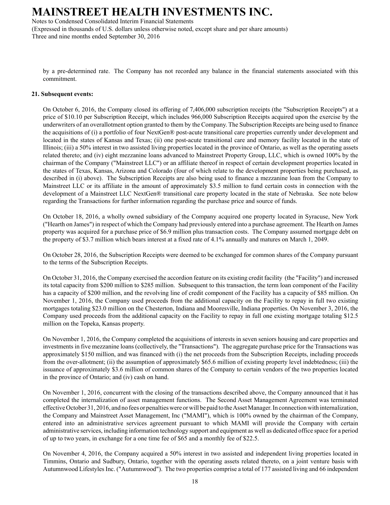Notes to Condensed Consolidated Interim Financial Statements

(Expressed in thousands of U.S. dollars unless otherwise noted, except share and per share amounts) Three and nine months ended September 30, 2016

by a pre-determined rate. The Company has not recorded any balance in the financial statements associated with this commitment.

#### **21. Subsequent events:**

On October 6, 2016, the Company closed its offering of 7,406,000 subscription receipts (the "Subscription Receipts") at a price of \$10.10 per Subscription Receipt, which includes 966,000 Subscription Receipts acquired upon the exercise by the underwriters of an overallotment option granted to them by the Company. The Subscription Receipts are being used to finance the acquisitions of (i) a portfolio of four NextGen® post-acute transitional care properties currently under development and located in the states of Kansas and Texas; (ii) one post-acute transitional care and memory facility located in the state of Illinois; (iii) a 50% interest in two assisted living properties located in the province of Ontario, as well as the operating assets related thereto; and (iv) eight mezzanine loans advanced to Mainstreet Property Group, LLC, which is owned 100% by the chairman of the Company ("Mainstreet LLC") or an affiliate thereof in respect of certain development properties located in the states of Texas, Kansas, Arizona and Colorado (four of which relate to the development properties being purchased, as described in (i) above). The Subscription Receipts are also being used to finance a mezzanine loan from the Company to Mainstreet LLC or its affiliate in the amount of approximately \$3.5 million to fund certain costs in connection with the development of a Mainstreet LLC NextGen® transitional care property located in the state of Nebraska. See note below regarding the Transactions for further information regarding the purchase price and source of funds.

On October 18, 2016, a wholly owned subsidiary of the Company acquired one property located in Syracuse, New York ("Hearth on James") in respect of which the Company had previously entered into a purchase agreement. The Hearth on James property was acquired for a purchase price of \$6.9 million plus transaction costs. The Company assumed mortgage debt on the property of \$3.7 million which bears interest at a fixed rate of 4.1% annually and matures on March 1, 2049.

On October 28, 2016, the Subscription Receipts were deemed to be exchanged for common shares of the Company pursuant to the terms of the Subscription Receipts.

On October 31, 2016, the Company exercised the accordion feature on its existing credit facility (the "Facility") and increased its total capacity from \$200 million to \$285 million. Subsequent to this transaction, the term loan component of the Facility has a capacity of \$200 million, and the revolving line of credit component of the Facility has a capacity of \$85 million. On November 1, 2016, the Company used proceeds from the additional capacity on the Facility to repay in full two existing mortgages totaling \$23.0 million on the Chesterton, Indiana and Mooresville, Indiana properties. On November 3, 2016, the Company used proceeds from the additional capacity on the Facility to repay in full one existing mortgage totaling \$12.5 million on the Topeka, Kansas property.

On November 1, 2016, the Company completed the acquisitions of interests in seven seniors housing and care properties and investments in five mezzanine loans (collectively, the "Transactions"). The aggregate purchase price for the Transactions was approximately \$150 million, and was financed with (i) the net proceeds from the Subscription Receipts, including proceeds from the over-allotment; (ii) the assumption of approximately \$65.6 million of existing property level indebtedness; (iii) the issuance of approximately \$3.6 million of common shares of the Company to certain vendors of the two properties located in the province of Ontario; and (iv) cash on hand.

On November 1, 2016, concurrent with the closing of the transactions described above, the Company announced that it has completed the internalization of asset management functions. The Second Asset Management Agreement was terminated effective October 31, 2016, and no fees or penalties were or will be paid to the Asset Manager. In connection with internalization, the Company and Mainstreet Asset Management, Inc ("MAMI"), which is 100% owned by the chairman of the Company, entered into an administrative services agreement pursuant to which MAMI will provide the Company with certain administrative services, including information technology support and equipment as well as dedicated office space for a period of up to two years, in exchange for a one time fee of \$65 and a monthly fee of \$22.5.

On November 4, 2016, the Company acquired a 50% interest in two assisted and independent living properties located in Timmins, Ontario and Sudbury, Ontario, together with the operating assets related thereto, on a joint venture basis with Autumnwood Lifestyles Inc. ("Autumnwood"). The two properties comprise a total of 177 assisted living and 66 independent